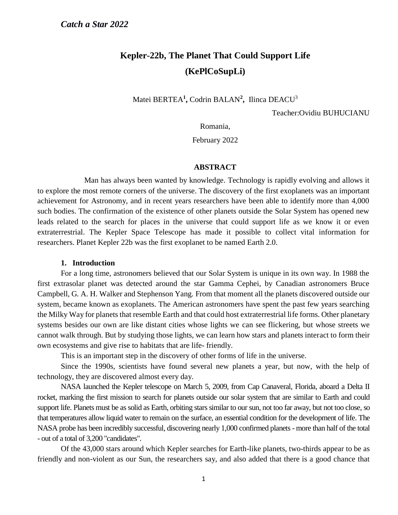# **Kepler-22b, The Planet That Could Support Life (KePlCoSupLi)**

Matei BERTEA**<sup>1</sup> ,** Codrin BALAN**<sup>2</sup> ,** Ilinca DEACU<sup>3</sup>

Teacher:Ovidiu BUHUCIANU

Romania,

February 2022

#### **ABSTRACT**

Man has always been wanted by knowledge. Technology is rapidly evolving and allows it to explore the most remote corners of the universe. The discovery of the first exoplanets was an important achievement for Astronomy, and in recent years researchers have been able to identify more than 4,000 such bodies. The confirmation of the existence of other planets outside the Solar System has opened new leads related to the search for places in the universe that could support life as we know it or even extraterrestrial. The Kepler Space Telescope has made it possible to collect vital information for researchers. Planet Kepler 22b was the first exoplanet to be named Earth 2.0.

#### **1. Introduction**

For a long time, astronomers believed that our Solar System is unique in its own way. In 1988 the first extrasolar planet was detected around the star Gamma Cephei, by Canadian astronomers Bruce Campbell, G. A. H. Walker and Stephenson Yang. From that moment all the planets discovered outside our system, became known as exoplanets. The American astronomers have spent the past few years searching the Milky Way for planets that resemble Earth and that could host extraterrestrial life forms. Other planetary systems besides our own are like distant cities whose lights we can see flickering, but whose streets we cannot walk through. But by studying those lights, we can learn how stars and planets interact to form their own ecosystems and give rise to habitats that are life- friendly.

This is an important step in the discovery of other forms of life in the universe.

Since the 1990s, scientists have found several new planets a year, but now, with the help of technology, they are discovered almost every day.

NASA launched the Kepler telescope on March 5, 2009, from Cap Canaveral, Florida, aboard a Delta II rocket, marking the first mission to search for planets outside our solar system that are similar to Earth and could support life. Planets must be as solid as Earth, orbiting stars similar to our sun, not too far away, but not too close, so that temperatures allow liquid water to remain on the surface, an essential condition for the development of life. The NASA probe has been incredibly successful, discovering nearly 1,000 confirmed planets - more than half of the total - out of a total of 3,200 "candidates".

Of the 43,000 stars around which Kepler searches for Earth-like planets, two-thirds appear to be as friendly and non-violent as our Sun, the researchers say, and also added that there is a good chance that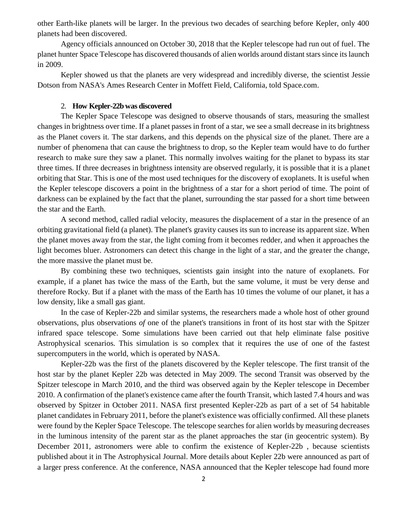other Earth-like planets will be larger. In the previous two decades of searching before Kepler, only 400 planets had been discovered.

Agency officials announced on October 30, 2018 that the Kepler telescope had run out of fuel. The planet hunter Space Telescope has discovered thousands of alien worlds around distant stars since its launch in 2009.

Kepler showed us that the planets are very widespread and incredibly diverse, the scientist Jessie Dotson from NASA's Ames Research Center in Moffett Field, California, told Space.com.

#### 2. **How Kepler-22b was discovered**

The Kepler Space Telescope was designed to observe thousands of stars, measuring the smallest changes in brightness over time. If a planet passes in front of a star, we see a small decrease in its brightness as the Planet covers it. The star darkens, and this depends on the physical size of the planet. There are a number of phenomena that can cause the brightness to drop, so the Kepler team would have to do further research to make sure they saw a planet. This normally involves waiting for the planet to bypass its star three times. If three decreases in brightness intensity are observed regularly, it is possible that it is a planet orbiting that Star. This is one of the most used techniques for the discovery of exoplanets. It is useful when the Kepler telescope discovers a point in the brightness of a star for a short period of time. The point of darkness can be explained by the fact that the planet, surrounding the star passed for a short time between the star and the Earth.

A second method, called radial velocity, measures the displacement of a star in the presence of an orbiting gravitational field (a planet). The planet's gravity causes its sun to increase its apparent size. When the planet moves away from the star, the light coming from it becomes redder, and when it approaches the light becomes bluer. Astronomers can detect this change in the light of a star, and the greater the change, the more massive the planet must be.

By combining these two techniques, scientists gain insight into the nature of exoplanets. For example, if a planet has twice the mass of the Earth, but the same volume, it must be very dense and therefore Rocky. But if a planet with the mass of the Earth has 10 times the volume of our planet, it has a low density, like a small gas giant.

In the case of Kepler-22b and similar systems, the researchers made a whole host of other ground observations, plus observations *of* one of the planet's transitions in front of its host star with the Spitzer infrared space telescope. Some simulations have been carried out that help eliminate false positive Astrophysical scenarios. This simulation is so complex that it requires the use of one of the fastest supercomputers in the world, which is operated by NASA.

Kepler-22b was the first of the planets discovered by the Kepler telescope. The first transit of the host star by the planet Kepler 22b was detected in May 2009. The second Transit was observed by the Spitzer telescope in March 2010, and the third was observed again by the Kepler telescope in December 2010. A confirmation of the planet's existence came after the fourth Transit, which lasted 7.4 hours and was observed by Spitzer in October 2011. NASA first presented Kepler-22b as part of a set of 54 habitable planet candidates in February 2011, before the planet's existence was officially confirmed. All these planets were found by the Kepler Space Telescope. The telescope searches for alien worlds by measuring decreases in the luminous intensity of the parent star as the planet approaches the star (in geocentric system). By December 2011, astronomers were able to confirm the existence of Kepler-22b , because scientists published about it in The Astrophysical Journal. More details about Kepler 22b were announced as part of a larger press conference. At the conference, NASA announced that the Kepler telescope had found more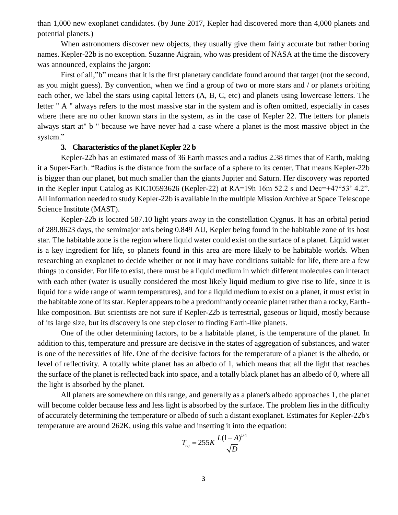than 1,000 new exoplanet candidates. (by June 2017, Kepler had discovered more than 4,000 planets and potential planets.)

When astronomers discover new objects, they usually give them fairly accurate but rather boring names. Kepler-22b is no exception. Suzanne Aigrain, who was president of NASA at the time the discovery was announced, explains the jargon:

First of all,"b" means that it is the first planetary candidate found around that target (not the second, as you might guess). By convention, when we find a group of two or more stars and / or planets orbiting each other, we label the stars using capital letters (A, B, C, etc) and planets using lowercase letters. The letter " A " always refers to the most massive star in the system and is often omitted, especially in cases where there are no other known stars in the system, as in the case of Kepler 22. The letters for planets always start at" b " because we have never had a case where a planet is the most massive object in the system."

## **3. Characteristics of the planet Kepler 22 b**

Kepler-22b has an estimated mass of 36 Earth masses and a radius 2.38 times that of Earth, making it a Super-Earth. "Radius is the distance from the surface of a sphere to its center. That means Kepler-22b is bigger than our planet, but much smaller than the giants Jupiter and Saturn. Her discovery was reported in the Kepler input Catalog as KIC10593626 (Kepler-22) at RA=19h 16m 52.2 s and Dec=+47°53' 4.2". All information needed to study Kepler-22b is available in the multiple Mission Archive at Space Telescope Science Institute (MAST).

Kepler-22b is located 587.10 light years away in the constellation Cygnus. It has an orbital period of 289.8623 days, the semimajor axis being 0.849 AU, Kepler being found in the habitable zone of its host star. The habitable zone is the region where liquid water could exist on the surface of a planet. Liquid water is a key ingredient for life, so planets found in this area are more likely to be habitable worlds. When researching an exoplanet to decide whether or not it may have conditions suitable for life, there are a few things to consider. For life to exist, there must be a liquid medium in which different molecules can interact with each other (water is usually considered the most likely liquid medium to give rise to life, since it is liquid for a wide range of warm temperatures), and for a liquid medium to exist on a planet, it must exist in the habitable zone of its star. Kepler appears to be a predominantly oceanic planet rather than a rocky, Earthlike composition. But scientists are not sure if Kepler-22b is terrestrial, gaseous or liquid, mostly because of its large size, but its discovery is one step closer to finding Earth-like planets.

One of the other determining factors, to be a habitable planet, is the temperature of the planet. In addition to this, temperature and pressure are decisive in the states of aggregation of substances, and water is one of the necessities of life. One of the decisive factors for the temperature of a planet is the albedo, or level of reflectivity. A totally white planet has an albedo of 1, which means that all the light that reaches the surface of the planet is reflected back into space, and a totally black planet has an albedo of 0, where all the light is absorbed by the planet.

All planets are somewhere on this range, and generally as a planet's albedo approaches 1, the planet will become colder because less and less light is absorbed by the surface. The problem lies in the difficulty of accurately determining the temperature or albedo of such a distant exoplanet. Estimates for Kepler-22b's temperature are around 262K, using this value and inserting it into the equation:

$$
T_{eq} = 255K \frac{L(1-A)^{1/4}}{\sqrt{D}}
$$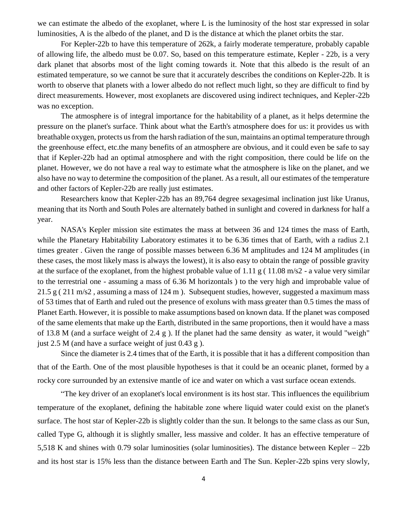we can estimate the albedo of the exoplanet, where L is the luminosity of the host star expressed in solar luminosities, A is the albedo of the planet, and D is the distance at which the planet orbits the star.

For Kepler-22b to have this temperature of 262k, a fairly moderate temperature, probably capable of allowing life, the albedo must be 0.07. So, based on this temperature estimate, Kepler - 22b, is a very dark planet that absorbs most of the light coming towards it. Note that this albedo is the result of an estimated temperature, so we cannot be sure that it accurately describes the conditions on Kepler-22b. It is worth to observe that planets with a lower albedo do not reflect much light, so they are difficult to find by direct measurements. However, most exoplanets are discovered using indirect techniques, and Kepler-22b was no exception.

The atmosphere is of integral importance for the habitability of a planet, as it helps determine the pressure on the planet's surface. Think about what the Earth's atmosphere does for us: it provides us with breathable oxygen, protects us from the harsh radiation of the sun, maintains an optimal temperature through the greenhouse effect, etc.the many benefits of an atmosphere are obvious, and it could even be safe to say that if Kepler-22b had an optimal atmosphere and with the right composition, there could be life on the planet. However, we do not have a real way to estimate what the atmosphere is like on the planet, and we also have no way to determine the composition of the planet. As a result, all our estimates of the temperature and other factors of Kepler-22b are really just estimates.

Researchers know that Kepler-22b has an 89,764 degree sexagesimal inclination just like Uranus, meaning that its North and South Poles are alternately bathed in sunlight and covered in darkness for half a year.

NASA's Kepler mission site estimates the mass at between 36 and 124 times the mass of Earth, while the Planetary Habitability Laboratory estimates it to be 6.36 times that of Earth, with a radius 2.1 times greater . Given the range of possible masses between 6.36 M amplitudes and 124 M amplitudes (in these cases, the most likely mass is always the lowest), it is also easy to obtain the range of possible gravity at the surface of the exoplanet, from the highest probable value of 1.11 g ( 11.08 m/s2 - a value very similar to the terrestrial one - assuming a mass of 6.36 M horizontals ) to the very high and improbable value of 21.5 g ( 211 m/s2 , assuming a mass of 124 m ). Subsequent studies, however, suggested a maximum mass of 53 times that of Earth and ruled out the presence of exoluns with mass greater than 0.5 times the mass of Planet Earth. However, it is possible to make assumptions based on known data. If the planet was composed of the same elements that make up the Earth, distributed in the same proportions, then it would have a mass of 13.8 M (and a surface weight of 2.4 g ). If the planet had the same density as water, it would "weigh" just 2.5 M (and have a surface weight of just 0.43 g ).

Since the diameter is 2.4 times that of the Earth, it is possible that it has a different composition than that of the Earth. One of the most plausible hypotheses is that it could be an oceanic planet, formed by a rocky core surrounded by an extensive mantle of ice and water on which a vast surface ocean extends.

"The key driver of an exoplanet's local environment is its host star. This influences the equilibrium temperature of the exoplanet, defining the habitable zone where liquid water could exist on the planet's surface. The host star of Kepler-22b is slightly colder than the sun. It belongs to the same class as our Sun, called Type G, although it is slightly smaller, less massive and colder. It has an effective temperature of 5,518 K and shines with 0.79 solar luminosities (solar luminosities). The distance between Kepler – 22b and its host star is 15% less than the distance between Earth and The Sun. Kepler-22b spins very slowly,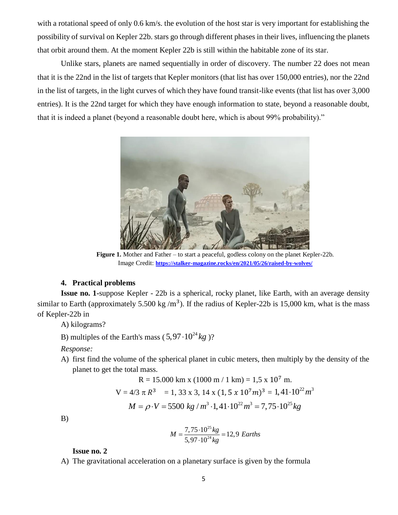with a rotational speed of only 0.6 km/s. the evolution of the host star is very important for establishing the possibility of survival on Kepler 22b. stars go through different phases in their lives, influencing the planets that orbit around them. At the moment Kepler 22b is still within the habitable zone of its star.

Unlike stars, planets are named sequentially in order of discovery. The number 22 does not mean that it is the 22nd in the list of targets that Kepler monitors (that list has over 150,000 entries), nor the 22nd in the list of targets, in the light curves of which they have found transit-like events (that list has over 3,000 entries). It is the 22nd target for which they have enough information to state, beyond a reasonable doubt, that it is indeed a planet (beyond a reasonable doubt here, which is about 99% probability)."



**Figure 1.** Mother and Father – to start a peaceful, godless colony on the planet Kepler-22b. Image Credit: **<https://stalker-magazine.rocks/en/2021/05/26/raised-by-wolves/>**

## **4. Practical problems**

**Issue no. 1-**suppose Kepler - 22b is a spherical, rocky planet, like Earth, with an average density similar to Earth (approximately 5.500 kg/m<sup>3</sup>). If the radius of Kepler-22b is 15,000 km, what is the mass of Kepler-22b in

A) kilograms?

B) multiples of the Earth's mass  $(5, 97 \cdot 10^{24} kg)$ ?

*Response:*

A) first find the volume of the spherical planet in cubic meters, then multiply by the density of the planet to get the total mass.

$$
R = 15.000 \text{ km} \times (1000 \text{ m} / 1 \text{ km}) = 1.5 \times 10^7 \text{ m}.
$$
  
\n
$$
V = 4/3 \pi R^3 = 1, 33 \times 3, 14 \times (1, 5 \times 10^7 m)^3 = 1, 41 \cdot 10^{22} m^3
$$
  
\n
$$
M = \rho \cdot V = 5500 \text{ kg} / m^3 \cdot 1, 41 \cdot 10^{22} m^3 = 7, 75 \cdot 10^{25} kg
$$

B)

$$
M = \frac{7,75 \cdot 10^{25} \text{kg}}{5,97 \cdot 10^{24} \text{kg}} = 12,9 \text{ Earth}
$$

#### **Issue no. 2**

A) The gravitational acceleration on a planetary surface is given by the formula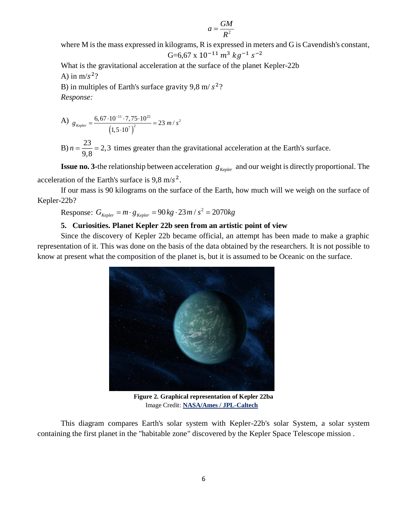$$
a = \frac{GM}{R^2}
$$

where M is the mass expressed in kilograms, R is expressed in meters and G is Cavendish's constant,

$$
G=6.67 \times 10^{-11} \, m^3 \, kg^{-1} \, s^{-2}
$$

What is the gravitational acceleration at the surface of the planet Kepler-22b A) in  $m/s^2$ ?

B) in multiples of Earth's surface gravity 9,8 m/ $s^2$ ? *Response:* 

A) 
$$
g_{Kepler} = \frac{6,67 \cdot 10^{-11} \cdot 7,75 \cdot 10^{25}}{(1,5 \cdot 10^7)^2} = 23 \, m/s^2
$$

B)  $n = \frac{23}{3.8} = 2,3$  $n = \frac{25}{9.8} = 2.3$  times greater than the gravitational acceleration at the Earth's surface.

**Issue no. 3-the relationship between acceleration**  $g_{Kepler}$  and our weight is directly proportional. The acceleration of the Earth's surface is  $9.8 \text{ m/s}^2$ .

If our mass is 90 kilograms on the surface of the Earth, how much will we weigh on the surface of Kepler-22b?  $G_{Kepler} = m \cdot g_{Kepler} = 90 \, kg \cdot 23 \, m / s^2 = 2070 \, kg$  $= m \cdot g_{Kepler} = 90 kg \cdot 23 m / s^2 = 2070 k$ 

Response: 
$$
G_{Kepler} = m \cdot g_{Kepler} = 90 \, kg \cdot 23 \, m / s^2 = 2070 \, kg
$$

## **5. Curiosities. Planet Kepler 22b seen from an artistic point of view**

Since the discovery of Kepler 22b became official, an attempt has been made to make a graphic representation of it. This was done on the basis of the data obtained by the researchers. It is not possible to know at present what the composition of the planet is, but it is assumed to be Oceanic on the surface.



**Figure 2. Graphical representation of Kepler 22ba** Image Credit: **NASA/Ames / JPL-Caltech**

This diagram compares Earth's solar system with Kepler-22b's solar System, a solar system containing the first planet in the "habitable zone" discovered by the Kepler Space Telescope mission .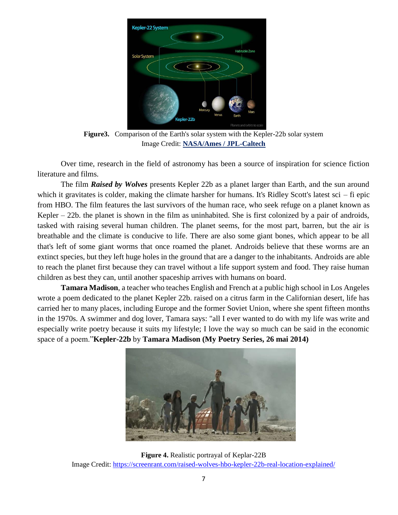

**Figure3.** Comparison of the Earth's solar system with the Kepler-22b solar system Image Credit: **NASA/Ames / JPL-Caltech**

Over time, research in the field of astronomy has been a source of inspiration for science fiction literature and films.

The film *Raised by Wolves* presents Kepler 22b as a planet larger than Earth, and the sun around which it gravitates is colder, making the climate harsher for humans. It's Ridley Scott's latest sci – fi epic from HBO. The film features the last survivors of the human race, who seek refuge on a planet known as Kepler – 22b. the planet is shown in the film as uninhabited. She is first colonized by a pair of androids, tasked with raising several human children. The planet seems, for the most part, barren, but the air is breathable and the climate is conducive to life. There are also some giant bones, which appear to be all that's left of some giant worms that once roamed the planet. Androids believe that these worms are an extinct species, but they left huge holes in the ground that are a danger to the inhabitants. Androids are able to reach the planet first because they can travel without a life support system and food. They raise human children as best they can, until another spaceship arrives with humans on board.

**Tamara Madison**, a teacher who teaches English and French at a public high school in Los Angeles wrote a poem dedicated to the planet Kepler 22b. raised on a citrus farm in the Californian desert, life has carried her to many places, including Europe and the former Soviet Union, where she spent fifteen months in the 1970s. A swimmer and dog lover, Tamara says: "all I ever wanted to do with my life was write and especially write poetry because it suits my lifestyle; I love the way so much can be said in the economic space of a poem."**Kepler-22b** by **Tamara Madison (My Poetry Series, 26 mai 2014)**



**Figure 4.** Realistic portrayal of Keplar-22B Image Credit:<https://screenrant.com/raised-wolves-hbo-kepler-22b-real-location-explained/>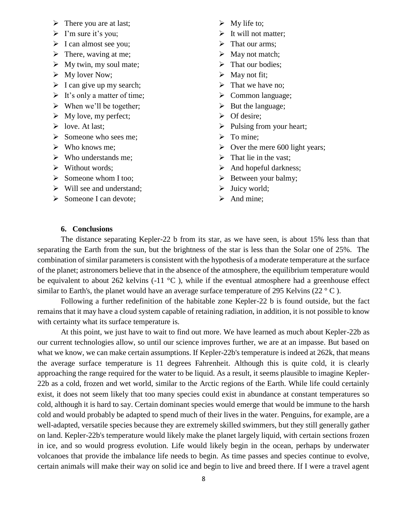- $\triangleright$  There you are at last;
- $\triangleright$  I'm sure it's you;
- $\triangleright$  I can almost see you;
- $\triangleright$  There, waving at me;
- $\triangleright$  My twin, my soul mate;
- $\triangleright$  My lover Now;
- $\triangleright$  I can give up my search;
- $\triangleright$  It's only a matter of time;
- $\triangleright$  When we'll be together;
- $\triangleright$  My love, my perfect;
- $\triangleright$  love. At last;
- $\triangleright$  Someone who sees me;
- $\triangleright$  Who knows me;
- $\triangleright$  Who understands me;
- $\triangleright$  Without words;
- Someone whom I too:
- $\triangleright$  Will see and understand;
- $\triangleright$  Someone I can devote;
- $\triangleright$  My life to;
- $\triangleright$  It will not matter;
- $\triangleright$  That our arms;
- $\triangleright$  May not match;
- $\triangleright$  That our bodies;
- $\triangleright$  May not fit;
- $\triangleright$  That we have no;
- $\triangleright$  Common language;
- $\triangleright$  But the language;
- $\triangleright$  Of desire;
- $\triangleright$  Pulsing from your heart;
- $\triangleright$  To mine:
- $\triangleright$  Over the mere 600 light years;
- $\triangleright$  That lie in the vast;
- $\triangleright$  And hopeful darkness;
- $\triangleright$  Between your balmy;
- $\triangleright$  Juicy world;
- $\blacktriangleright$  And mine;

## **6. Conclusions**

The distance separating Kepler-22 b from its star, as we have seen, is about 15% less than that separating the Earth from the sun, but the brightness of the star is less than the Solar one of 25%. The combination of similar parameters is consistent with the hypothesis of a moderate temperature at the surface of the planet; astronomers believe that in the absence of the atmosphere, the equilibrium temperature would be equivalent to about 262 kelvins (-11  $\degree$ C), while if the eventual atmosphere had a greenhouse effect similar to Earth's, the planet would have an average surface temperature of 295 Kelvins (22  $\degree$  C).

Following a further redefinition of the habitable zone Kepler-22 b is found outside, but the fact remains that it may have a cloud system capable of retaining radiation, in addition, it is not possible to know with certainty what its surface temperature is.

At this point, we just have to wait to find out more. We have learned as much about Kepler-22b as our current technologies allow, so until our science improves further, we are at an impasse. But based on what we know, we can make certain assumptions. If Kepler-22b's temperature is indeed at 262k, that means the average surface temperature is 11 degrees Fahrenheit. Although this is quite cold, it is clearly approaching the range required for the water to be liquid. As a result, it seems plausible to imagine Kepler-22b as a cold, frozen and wet world, similar to the Arctic regions of the Earth. While life could certainly exist, it does not seem likely that too many species could exist in abundance at constant temperatures so cold, although it is hard to say. Certain dominant species would emerge that would be immune to the harsh cold and would probably be adapted to spend much of their lives in the water. Penguins, for example, are a well-adapted, versatile species because they are extremely skilled swimmers, but they still generally gather on land. Kepler-22b's temperature would likely make the planet largely liquid, with certain sections frozen in ice, and so would progress evolution. Life would likely begin in the ocean, perhaps by underwater volcanoes that provide the imbalance life needs to begin. As time passes and species continue to evolve, certain animals will make their way on solid ice and begin to live and breed there. If I were a travel agent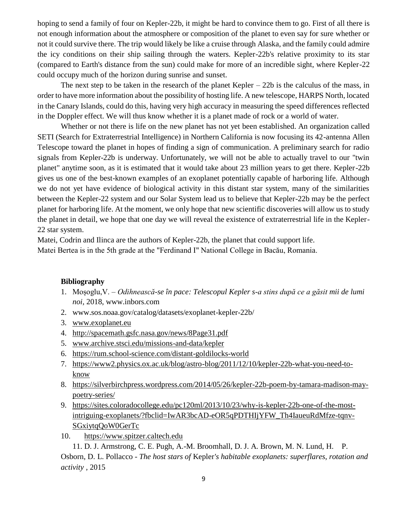hoping to send a family of four on Kepler-22b, it might be hard to convince them to go. First of all there is not enough information about the atmosphere or composition of the planet to even say for sure whether or not it could survive there. The trip would likely be like a cruise through Alaska, and the family could admire the icy conditions on their ship sailing through the waters. Kepler-22b's relative proximity to its star (compared to Earth's distance from the sun) could make for more of an incredible sight, where Kepler-22 could occupy much of the horizon during sunrise and sunset.

The next step to be taken in the research of the planet Kepler  $-22b$  is the calculus of the mass, in order to have more information about the possibility of hosting life. A new telescope, HARPS North, located in the Canary Islands, could do this, having very high accuracy in measuring the speed differences reflected in the Doppler effect. We will thus know whether it is a planet made of rock or a world of water.

Whether or not there is life on the new planet has not yet been established. An organization called SETI (Search for Extraterrestrial Intelligence) in Northern California is now focusing its 42-antenna Allen Telescope toward the planet in hopes of finding a sign of communication. A preliminary search for radio signals from Kepler-22b is underway. Unfortunately, we will not be able to actually travel to our "twin planet" anytime soon, as it is estimated that it would take about 23 million years to get there. Kepler-22b gives us one of the best-known examples of an exoplanet potentially capable of harboring life. Although we do not yet have evidence of biological activity in this distant star system, many of the similarities between the Kepler-22 system and our Solar System lead us to believe that Kepler-22b may be the perfect planet for harboring life. At the moment, we only hope that new scientific discoveries will allow us to study the planet in detail, we hope that one day we will reveal the existence of extraterrestrial life in the Kepler-22 star system.

Matei, Codrin and Ilinca are the authors of Kepler-22b, the planet that could support life.

Matei Bertea is in the 5th grade at the "Ferdinand I" National College in Bacău, Romania.

## **Bibliography**

- 1. Moșoglu,V. *Odihnească-se în pace: Telescopul Kepler s-a stins după ce a găsit mii de lumi noi*, 2018, www.inbors.com
- 2. www.sos.noaa.gov/catalog/datasets/exoplanet-kepler-22b/
- 3. [www.exoplanet.eu](http://www.exoplanet.eu/)
- 4. http://spacemath.gsfc.nasa.gov/news/8Page31.pdf
- 5. [www.archive.stsci.edu/missions-and-data/kepler](http://www.archive.stsci.edu/missions-and-data/kepler)
- 6. <https://rum.school-science.com/distant-goldilocks-world>
- 7. [https://www2.physics.ox.ac.uk/blog/astro-blog/2011/12/10/kepler-22b-what-you-need-to](https://www2.physics.ox.ac.uk/blog/astro-blog/2011/12/10/kepler-22b-what-you-need-to-know)[know](https://www2.physics.ox.ac.uk/blog/astro-blog/2011/12/10/kepler-22b-what-you-need-to-know)
- 8. [https://silverbirchpress.wordpress.com/2014/05/26/kepler-22b-poem-by-tamara-madison-may](https://silverbirchpress.wordpress.com/2014/05/26/kepler-22b-poem-by-tamara-madison-may-poetry-series/)[poetry-series/](https://silverbirchpress.wordpress.com/2014/05/26/kepler-22b-poem-by-tamara-madison-may-poetry-series/)
- 9. [https://sites.coloradocollege.edu/pc120ml/2013/10/23/why-is-kepler-22b-one-of-the-most](https://sites.coloradocollege.edu/pc120ml/2013/10/23/why-is-kepler-22b-one-of-the-most-intriguing-exoplanets/?fbclid=IwAR3bcAD-eOR5qPDTHIjYFW_Th4IaueuRdMfze-tqnv-SGxiytqQoW0GerTc)[intriguing-exoplanets/?fbclid=IwAR3bcAD-eOR5qPDTHIjYFW\\_Th4IaueuRdMfze-tqnv-](https://sites.coloradocollege.edu/pc120ml/2013/10/23/why-is-kepler-22b-one-of-the-most-intriguing-exoplanets/?fbclid=IwAR3bcAD-eOR5qPDTHIjYFW_Th4IaueuRdMfze-tqnv-SGxiytqQoW0GerTc)[SGxiytqQoW0GerTc](https://sites.coloradocollege.edu/pc120ml/2013/10/23/why-is-kepler-22b-one-of-the-most-intriguing-exoplanets/?fbclid=IwAR3bcAD-eOR5qPDTHIjYFW_Th4IaueuRdMfze-tqnv-SGxiytqQoW0GerTc)
- 10. [https://www.spitzer.caltech.edu](https://www.spitzer.caltech.edu/)

11. D. J. [Armstrong,](javascript:;) C. E. [Pugh,](javascript:;) A.-M. [Broomhall,](javascript:;) D. J. A. [Brown,](javascript:;) M. N. [Lund,](javascript:;) [H. P.](javascript:;) [Osborn,](javascript:;) D. L. [Pollacco](javascript:;) - *The host stars of* Kepler*'s habitable exoplanets: superflares, rotation and activity ,* 2015